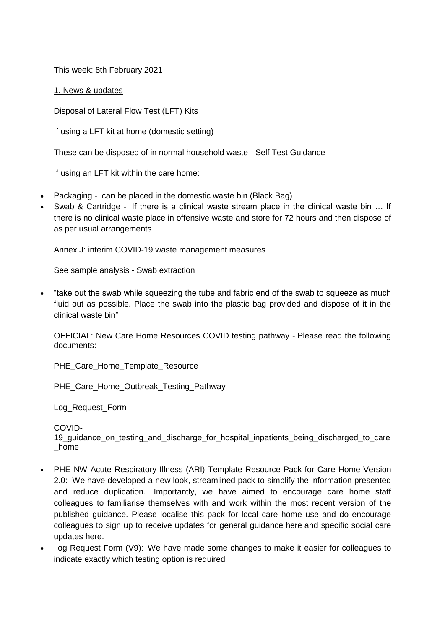This week: 8th February 2021

1. News & updates

Disposal of Lateral Flow Test (LFT) Kits

If using a LFT kit at home (domestic setting)

These can be disposed of in normal household waste - [Self Test Guidance](https://assets.publishing.service.gov.uk/government/uploads/system/uploads/attachment_data/file/958773/care-home-lfd-self-test-guidance-v04-02_2.pdf)

If using an LFT kit within the care home:

- Packaging can be placed in the domestic waste bin (Black Bag)
- Swab & Cartridge If there is a clinical waste stream place in the clinical waste bin … If there is no clinical waste place in offensive waste and store for 72 hours and then dispose of as per usual arrangements

Annex J: interim COVID-19 [waste management measures](https://www.gov.uk/government/publications/coronavirus-covid-19-admission-and-care-of-people-in-care-homes/coronavirus-covid-19-admission-and-care-of-people-in-care-homes#annex-j)

[See sample analysis -](https://www.gov.uk/government/publications/coronavirus-covid-19-lateral-flow-testing-of-visitors-in-care-homes/care-home-lfd-testing-of-visitors-guidance) Swab extraction

 "take out the swab while squeezing the tube and fabric end of the swab to squeeze as much fluid out as possible. Place the swab into the plastic bag provided and dispose of it in the clinical waste bin"

OFFICIAL: New Care Home Resources COVID testing pathway - Please read the following documents:

[PHE\\_Care\\_Home\\_Template\\_Resource](https://eastlancsccg.nhs.uk/images/PHE_NW_ARI_Care_Home_Template_Resource_v2_11012021.pptx)

[PHE\\_Care\\_Home\\_Outbreak\\_Testing\\_Pathway](https://eastlancsccg.nhs.uk/images/PHE_NW_ARI_CARE_HOME_OUTBREAK_TESTING_PATHWAY_11012021_v.1.5.pdf)

[Log\\_Request\\_Form](https://eastlancsccg.nhs.uk/images/Ilog_Request_Form_V9_11012021.docx)

[COVID-](https://eastlancsccg.nhs.uk/images/Flowchart_on_the_application_of_COVID-19_guidance_on_testing_and_discharge_for_hospital_inpatients_being_discharged_to_care_home.pdf)

19 quidance on testing and discharge for hospital inpatients being discharged to care [\\_home](https://eastlancsccg.nhs.uk/images/Flowchart_on_the_application_of_COVID-19_guidance_on_testing_and_discharge_for_hospital_inpatients_being_discharged_to_care_home.pdf)

- PHE NW Acute Respiratory Illness (ARI) Template Resource Pack for Care Home Version 2.0: We have developed a new look, streamlined pack to simplify the information presented and reduce duplication. Importantly, we have aimed to encourage care home staff colleagues to familiarise themselves with and work within the most recent version of the published guidance. Please localise this pack for local care home use and do encourage colleagues to sign up to receive updates for general guidance [here](https://eur01.safelinks.protection.outlook.com/?url=https%3A%2F%2Fwww.gov.uk%2Femail-signup%3Ftopic%3D%2Fcoronavirus-taxon&data=04%7C01%7CICC.Northwest%40phe.gov.uk%7C43409d913cfe4836d83808d8b6ea2da9%7Cee4e14994a354b2ead475f3cf9de8666%7C0%7C0%7C637460464223163495%7CUnknown%7CTWFpbGZsb3d8eyJWIjoiMC4wLjAwMDAiLCJQIjoiV2luMzIiLCJBTiI6Ik1haWwiLCJXVCI6Mn0%3D%7C1000&sdata=AHge6%2F2yyUXLRWU1ibFh3r221NBwYIT%2BMTt71VeYLYo%3D&reserved=0) and specific social care updates [here.](https://eur01.safelinks.protection.outlook.com/?url=https%3A%2F%2Fdhsc-mail.co.uk%2Fform%2FSx1iaZDJ%2Fd4e8f5123aa2d11bf90fb9e3%2F&data=04%7C01%7CICC.Northwest%40phe.gov.uk%7C43409d913cfe4836d83808d8b6ea2da9%7Cee4e14994a354b2ead475f3cf9de8666%7C0%7C0%7C637460464223163495%7CUnknown%7CTWFpbGZsb3d8eyJWIjoiMC4wLjAwMDAiLCJQIjoiV2luMzIiLCJBTiI6Ik1haWwiLCJXVCI6Mn0%3D%7C1000&sdata=AeD387cOKNfN9zu3LcGoT8SjKSa0Uw959oiprQfyhHo%3D&reserved=0)
- Ilog Request Form (V9): We have made some changes to make it easier for colleagues to indicate exactly which testing option is required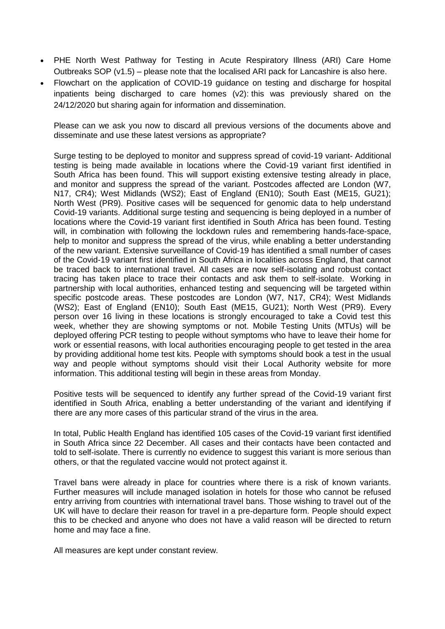- PHE North West Pathway for Testing in Acute Respiratory Illness (ARI) Care Home Outbreaks SOP (v1.5) – please note that the localised ARI pack for Lancashire is also [here.](https://www.lancashire.gov.uk/media/921449/phe-nw-acute-respiratory-illness-ari-template-resource-pack-for-care-homes-version-20.pdf)
- Flowchart on the application of COVID-19 guidance on testing and discharge for hospital inpatients being discharged to care homes (v2): this was previously shared on the 24/12/2020 but sharing again for information and dissemination.

Please can we ask you now to discard all previous versions of the documents above and disseminate and use these latest versions as appropriate?

Surge testing to be deployed to monitor and suppress spread of covid-19 variant- Additional testing is being made available in locations where the Covid-19 variant first identified in South Africa has been found. This will support existing extensive testing already in place, and monitor and suppress the spread of the variant. Postcodes affected are London (W7, N17, CR4); West Midlands (WS2); East of England (EN10); South East (ME15, GU21); North West (PR9). Positive cases will be sequenced for genomic data to help understand Covid-19 variants. Additional surge testing and sequencing is being deployed in a number of locations where the Covid-19 variant first identified in South Africa has been found. Testing will, in combination with following the lockdown rules and remembering hands-face-space, help to monitor and suppress the spread of the virus, while enabling a better understanding of the new variant. Extensive surveillance of Covid-19 has identified a small number of cases of the Covid-19 variant first identified in South Africa in localities across England, that cannot be traced back to international travel. All cases are now self-isolating and robust contact tracing has taken place to trace their contacts and ask them to self-isolate. Working in partnership with local authorities, enhanced testing and sequencing will be targeted within specific postcode areas. These postcodes are London (W7, N17, CR4); West Midlands (WS2); East of England (EN10); South East (ME15, GU21); North West (PR9). Every person over 16 living in these locations is strongly encouraged to take a Covid test this week, whether they are showing symptoms or not. Mobile Testing Units (MTUs) will be deployed offering PCR testing to people without symptoms who have to leave their home for work or essential reasons, with local authorities encouraging people to get tested in the area by providing additional home test kits. People with symptoms should book a test in the usual way and people without symptoms should visit their Local Authority website for more information. This additional testing will begin in these areas from Monday.

Positive tests will be sequenced to identify any further spread of the Covid-19 variant first identified in South Africa, enabling a better understanding of the variant and identifying if there are any more cases of this particular strand of the virus in the area.

In total, Public Health England has identified 105 cases of the Covid-19 variant first identified in South Africa since 22 December. All cases and their contacts have been contacted and told to self-isolate. There is currently no evidence to suggest this variant is more serious than others, or that the regulated vaccine would not protect against it.

Travel bans were already in place for countries where there is a risk of known variants. Further measures will include managed isolation in hotels for those who cannot be refused entry arriving from countries with international travel bans. Those wishing to travel out of the UK will have to declare their reason for travel in a pre-departure form. People should expect this to be checked and anyone who does not have a valid reason will be directed to return home and may face a fine.

All measures are kept under constant review.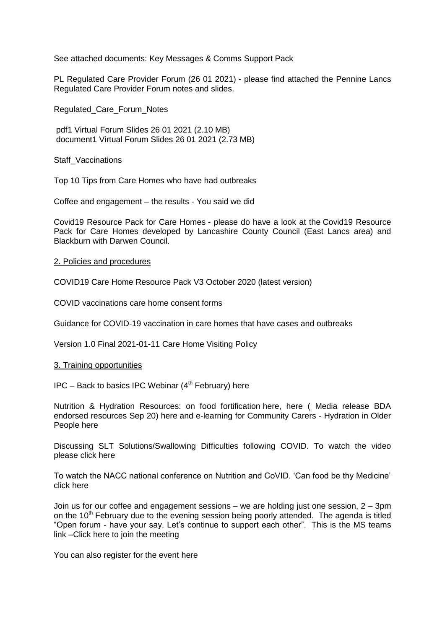See attached documents: [Key Messages](https://eastlancsccg.nhs.uk/images/20210201_Key_Messaging__QA_For_LAs.docx) & [Comms Support Pack](https://eastlancsccg.nhs.uk/images/SURGE_COMMS_SUPPORT_PACK_FOR_LAs_FINAL_1_Feb.pptx)

PL Regulated Care Provider Forum (26 01 2021) - please find attached the Pennine Lancs Regulated Care Provider Forum notes and slides.

[Regulated\\_Care\\_Forum\\_Notes](https://eastlancsccg.nhs.uk/images/0._Regulated_Care_Forum_Notes_26_01_2021_Final.pdf)

[pdf1 Virtual Forum Slides 26 01 2021](https://eastlancsccg.nhs.uk/contact-us/freedom-of-information/disclosure-logs/publications/2756-1-virtual-forum-slides-26-01-2021) (2.10 MB) [document1 Virtual Forum Slides 26 01 2021](https://eastlancsccg.nhs.uk/contact-us/freedom-of-information/disclosure-logs/publications/2757-1-virtual-forum-slides-26-01-2021-1) (2.73 MB)

[Staff\\_Vaccinations](https://eastlancsccg.nhs.uk/images/6._Staff_Vaccinations.docx)

[Top 10 Tips from Care Homes who have had outbreaks](https://eastlancsccg.nhs.uk/images/RegulatedCareSector/Top_ten_tips.docx)

[Coffee and engagement –](https://eastlancsccg.nhs.uk/images/RegulatedCareSector/You_said_We_did_from_December_and_October_Coffee_engagement_evenings.pdf) the results - You said we did

[Covid19 Resource Pack for Care Homes](https://www.lancashire.gov.uk/practitioners/health-and-social-care/care-service-provider-engagement/coronavirus-covid-19-information-for-care-providers/residential-and-nursing-care/) - please do have a look at the Covid19 Resource Pack for Care Homes developed by Lancashire County Council (East Lancs area) and Blackburn with Darwen Council.

#### 2. Policies and procedures

COVID19 Care Home Resource Pack V3 October 2020 (latest version)

[COVID vaccinations care home consent forms](https://eastlancsccg.nhs.uk/images/RegulatedCareSector/20201208_ICS_CH_CvdVacConsentForm_v1_FINAL.PDF)

[Guidance for COVID-19 vaccination in care homes that have cases and outbreaks](https://www.england.nhs.uk/coronavirus/publication/guidance-for-covid-19-vaccination-in-care-homes-that-have-cases-and-outbreaks/)

[Version 1.0 Final 2021-01-11 Care Home Visiting Policy](https://www.gov.uk/government/publications/visiting-care-homes-during-coronavirus/update-on-policies-for-visiting-arrangements-in-care-homes)

#### 3. Training opportunities

 $IPC$  – Back to basics IPC Webinar ( $4<sup>th</sup>$  February) [here](file:///C:/Users/libby.horsfield/AppData/Local/Microsoft/Windows/INetCache/Content.Outlook/JPBAACMK/images/Comms_for_North_IPC_Webinar_-_4th_Feb_Vs4.docx)

Nutrition & Hydration Resources: on food fortification [here,](file:///C:/Users/libby.horsfield/AppData/Local/Microsoft/Windows/INetCache/Content.Outlook/JPBAACMK/images/Food_Fortification.pdf) here ( Media release BDA endorsed resources Sep 20) [here](file:///C:/Users/libby.horsfield/AppData/Local/Microsoft/Windows/INetCache/Content.Outlook/JPBAACMK/images/Media_release_BDA_endorsed_resources_Sep_20.docx) and e-learning for Community Carers - Hydration in Older People [here](file:///C:/Users/libby.horsfield/AppData/Local/Microsoft/Windows/INetCache/Content.Outlook/JPBAACMK/images/e-learning_for_Community_Carers_-_Hydration_in_Older_People.docx)

Discussing SLT Solutions/Swallowing Difficulties following COVID. To watch the video please click [here](https://bit.ly/2G8VuhL)

To watch the NACC national conference on Nutrition and CoVID. 'Can food be thy Medicine' click [here](https://bit.ly/2TnSmkZ)

Join us for our coffee and engagement sessions – we are holding just one session, 2 – 3pm on the  $10<sup>th</sup>$  February due to the evening session being poorly attended. The agenda is titled "Open forum - have your say. Let's continue to support each other". This is the MS teams link [–Click here to join the meeting](https://teams.microsoft.com/l/meetup-join/19%3ameeting_NjkxOTI3M2MtMzdlNC00MDliLWFhMjgtZmZiZjMzZGI5OTkw%40thread.v2/0?context=%7b%22Tid%22%3a%2237c354b2-85b0-47f5-b222-07b48d774ee3%22%2c%22Oid%22%3a%22a2ec35af-1c40-4f8f-8903-a088b26ed2a2%22%7d)

You can also register for the event [here](https://www.eventbrite.co.uk/e/virtual-coffee-engagement-an-online-sessions-to-support-the-care-sector-tickets-137296701129)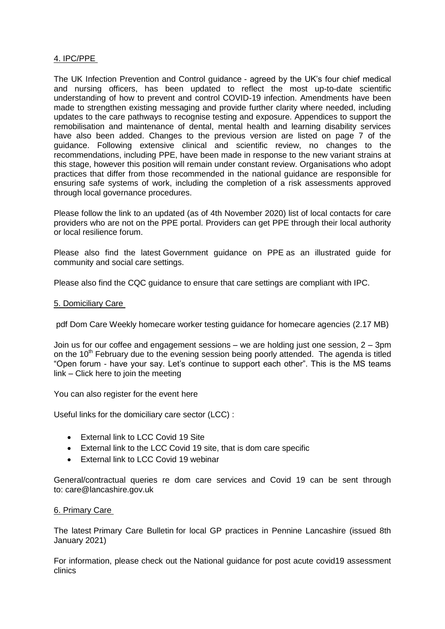# 4. IPC/PPE

[The UK Infection Prevention and Control guidance](https://www.gov.uk/government/publications/wuhan-novel-coronavirus-infection-prevention-and-control) - agreed by the UK's four chief medical and nursing officers, has been updated to reflect the most up-to-date scientific understanding of how to prevent and control COVID-19 infection. Amendments have been made to strengthen existing messaging and provide further clarity where needed, including updates to the care pathways to recognise testing and exposure. Appendices to support the remobilisation and maintenance of dental, mental health and learning disability services have also been added. Changes to the previous version are listed on page 7 of the guidance. Following extensive clinical and scientific review, no changes to the recommendations, including PPE, have been made in response to the new variant strains at this stage, however this position will remain under constant review. Organisations who adopt practices that differ from those recommended in the national guidance are responsible for ensuring safe systems of work, including the completion of a risk assessments approved through local governance procedures.

Please follow the link to an updated (as of 4th November 2020) [list of local contacts for care](https://www.gov.uk/guidance/personal-protective-equipment-ppe-local-contacts-for-care-providers?utm_source=7b0599ce-5951-49ad-aa64-8d33f4581bd8&utm_medium=email&utm_campaign=govuk-notifications&utm_content=daily)  [providers who are not on the PPE portal.](https://www.gov.uk/guidance/personal-protective-equipment-ppe-local-contacts-for-care-providers?utm_source=7b0599ce-5951-49ad-aa64-8d33f4581bd8&utm_medium=email&utm_campaign=govuk-notifications&utm_content=daily) Providers can get PPE through their local authority or local resilience forum.

Please also find the latest [Government guidance on PPE](https://www.gov.uk/government/publications/personal-protective-equipment-ppe-illustrated-guide-for-community-and-social-care-settings) as an illustrated guide for community and social care settings.

Please also find the [CQC guidance](https://www.cqc.org.uk/guidance-providers/residential-adult-social-care/infection-prevention-control-care-homes) to ensure that care settings are compliant with IPC.

## 5. Domiciliary Care

[pdf Dom Care Weekly homecare worker testing guidance for homecare agencies](https://eastlancsccg.nhs.uk/contact-us/freedom-of-information/disclosure-logs/publications/2730-dom-care-weekly-homecare-worker-testing-guidance-for-homecare-agencies) (2.17 MB)

Join us for our coffee and engagement sessions – we are holding just one session, 2 – 3pm on the  $10<sup>th</sup>$  February due to the evening session being poorly attended. The agenda is titled "Open forum - have your say. Let's continue to support each other". This is the MS teams link – [Click here to join the meeting](https://teams.microsoft.com/l/meetup-join/19%3ameeting_NjkxOTI3M2MtMzdlNC00MDliLWFhMjgtZmZiZjMzZGI5OTkw%40thread.v2/0?context=%7b%22Tid%22%3a%2237c354b2-85b0-47f5-b222-07b48d774ee3%22%2c%22Oid%22%3a%22a2ec35af-1c40-4f8f-8903-a088b26ed2a2%22%7d)

You can also register for the event [here](https://www.eventbrite.co.uk/e/virtual-coffee-engagement-an-online-sessions-to-support-the-care-sector-tickets-137296701129)

Useful links for the domiciliary care sector (LCC) :

- **[External link to LCC Covid 19 Site](https://www.lancashire.gov.uk/practitioners/health-and-social-care/care-service-provider-engagement/coronavirus-covid-19-information-for-care-providers/)**
- [External link to the LCC Covid 19 site, that is dom care specific](https://www.lancashire.gov.uk/practitioners/health-and-social-care/care-service-provider-engagement/coronavirus-covid-19-information-for-care-providers/home-care/)
- [External link to LCC Covid 19 webinar](https://www.lancashire.gov.uk/practitioners/health-and-social-care/care-service-provider-engagement/coronavirus-covid-19-information-for-care-providers/local-communications-to-providers-and-service-users/covid-19-provider-engagement-webinars/)

General/contractual queries re dom care services and Covid 19 can be sent through to: [care@lancashire.gov.uk](mailto:care@lancashire.gov.uk)

## 6. Primary Care

The latest [Primary Care Bulletin](https://eastlancsccg.nhs.uk/images/20210208_Primary_Care_Briefing_from_Dr_M_Dziobon_No_166_for_circulation.docx) for local GP practices in Pennine Lancashire (issued 8th January 2021)

For information, please check out the [National guidance for post acute covid19 assessment](https://www.england.nhs.uk/coronavirus/guidance-for-everyone/your-covid-recovery/)  [clinics](https://www.england.nhs.uk/coronavirus/guidance-for-everyone/your-covid-recovery/)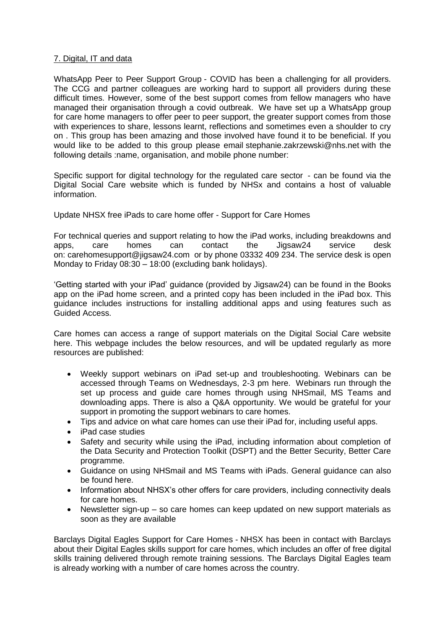## 7. Digital, IT and data

WhatsApp Peer to Peer Support Group - COVID has been a challenging for all providers. The CCG and partner colleagues are working hard to support all providers during these difficult times. However, some of the best support comes from fellow managers who have managed their organisation through a covid outbreak. We have set up a WhatsApp group for care home managers to offer peer to peer support, the greater support comes from those with experiences to share, lessons learnt, reflections and sometimes even a shoulder to cry on . This group has been amazing and those involved have found it to be beneficial. If you would like to be added to this group please email [stephanie.zakrzewski@nhs.net](mailto:stephanie.zakrzewski@nhs.net) with the following details :name, organisation, and mobile phone number:

[Specific support for digital technology for the regulated care sector](https://www.digitalsocialcare.co.uk/) - can be found via the Digital Social Care website which is funded by NHSx and contains a host of valuable information.

Update NHSX free iPads to care home offer - Support for Care Homes

For technical queries and support relating to how the iPad works, including breakdowns and apps, care homes can contact the Jigsaw24 service desk on: [carehomesupport@jigsaw24.com](mailto:carehomesupport@jigsaw24.com) or by phone 03332 409 234. The service desk is open Monday to Friday 08:30 – 18:00 (excluding bank holidays).

['Getting started with your iPad' guidance](https://eastlancsccg.nhs.uk/images/jigsaw24_CareHome_ipad_guide.pdf) (provided by Jigsaw24) can be found in the Books app on the iPad home screen, and a printed copy has been included in the iPad box. This guidance includes instructions for installing additional apps and using features such as Guided Access.

Care homes can access a range of support materials on the Digital Social Care website here. This webpage includes the below resources, and will be updated regularly as more resources are published:

- Weekly support webinars on iPad set-up and troubleshooting. Webinars can be accessed through Teams on Wednesdays, 2-3 pm here. Webinars run through the set up process and guide care homes through using NHSmail, MS Teams and downloading apps. There is also a Q&A opportunity. We would be grateful for your support in promoting the support webinars to care homes.
- Tips and advice on what care homes can use their iPad for, including useful apps.
- iPad case studies
- Safety and security while using the iPad, including information about completion of the Data Security and Protection Toolkit (DSPT) and the Better Security, Better Care programme.
- Guidance on using NHSmail and MS Teams with iPads. General guidance can also be found here.
- Information about NHSX's other offers for care providers, including connectivity deals for care homes.
- Newsletter sign-up so care homes can keep updated on new support materials as soon as they are available

[Barclays Digital Eagles Support for Care Homes](https://eastlancsccg.nhs.uk/images/Barclays_Digital_Eagles_Care_Home_Flyer.pdf) - NHSX has been in contact with Barclays about their Digital Eagles skills support for care homes, which includes an offer of free digital skills training delivered through remote training sessions. The Barclays Digital Eagles team is already working with a number of care homes across the country.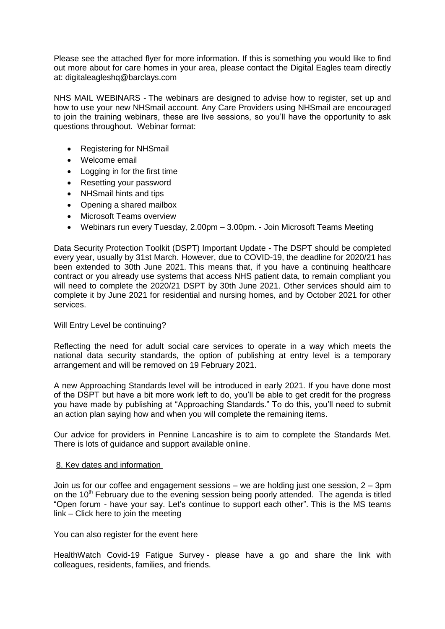Please see the attached flyer for more information. If this is something you would like to find out more about for care homes in your area, please contact the Digital Eagles team directly at: [digitaleagleshq@barclays.com](mailto:digitaleagleshq@barclays.com)

NHS MAIL WEBINARS - The webinars are designed to advise how to register, set up and how to use your new NHSmail account. Any Care Providers using NHSmail are encouraged to join the training webinars, these are live sessions, so you'll have the opportunity to ask questions throughout. Webinar format:

- Registering for NHSmail
- Welcome email
- Logging in for the first time
- Resetting your password
- NHSmail hints and tips
- Opening a shared mailbox
- Microsoft Teams overview
- Webinars run every Tuesday, 2.00pm 3.00pm. [Join Microsoft Teams Meeting](https://teams.microsoft.com/l/meetup-join/19%3ameeting_ZGQ1MTkzMDAtZjU4OS00MDhhLWE1ZDgtNmUxNjIyNjcyYmZi%40thread.v2/0?context=%7b%22Tid%22%3a%2203159e92-72c6-4b23-a64a-af50e790adbf%22%2c%22Oid%22%3a%22cc4ef5b2-82a3-43ca-8a81-da50f393d1c8%22%7d)

Data Security Protection Toolkit (DSPT) Important Update - The DSPT should be completed every year, usually by 31st March. However, due to COVID-19, the deadline for 2020/21 has been extended to 30th June 2021. This means that, if you have a continuing healthcare contract or you already use systems that access NHS patient data, to remain compliant you will need to complete the 2020/21 DSPT by 30th June 2021. Other services should aim to complete it by June 2021 for residential and nursing homes, and by October 2021 for other services.

## Will Entry Level be continuing?

Reflecting the need for adult social care services to operate in a way which meets the national data security standards, the option of publishing at entry level is a temporary arrangement and will be removed on 19 February 2021.

A new Approaching Standards level will be introduced in early 2021. If you have done most of the DSPT but have a bit more work left to do, you'll be able to get credit for the progress you have made by publishing at "Approaching Standards." To do this, you'll need to submit an action plan saying how and when you will complete the remaining items.

Our advice for providers in Pennine Lancashire is to aim to complete the Standards Met. There is lots of [guidance and support available online.](https://www.digitalsocialcare.co.uk/data-security-protecting-my-information/data-security-and-protection-toolkit/)

## 8. Key dates and information

Join us for our coffee and engagement sessions – we are holding just one session, 2 – 3pm on the  $10<sup>th</sup>$  February due to the evening session being poorly attended. The agenda is titled "Open forum - have your say. Let's continue to support each other". This is the MS teams link – [Click here to join the meeting](https://teams.microsoft.com/l/meetup-join/19%3ameeting_NjkxOTI3M2MtMzdlNC00MDliLWFhMjgtZmZiZjMzZGI5OTkw%40thread.v2/0?context=%7b%22Tid%22%3a%2237c354b2-85b0-47f5-b222-07b48d774ee3%22%2c%22Oid%22%3a%22a2ec35af-1c40-4f8f-8903-a088b26ed2a2%22%7d)

You can also register for the event [here](https://www.eventbrite.co.uk/e/virtual-coffee-engagement-an-online-sessions-to-support-the-care-sector-tickets-137296701129)

[HealthWatch Covid-19 Fatigue Survey](https://healthwatchlancashire.co.uk/news/covid-survey) - please have a go and share the link with colleagues, residents, families, and friends.